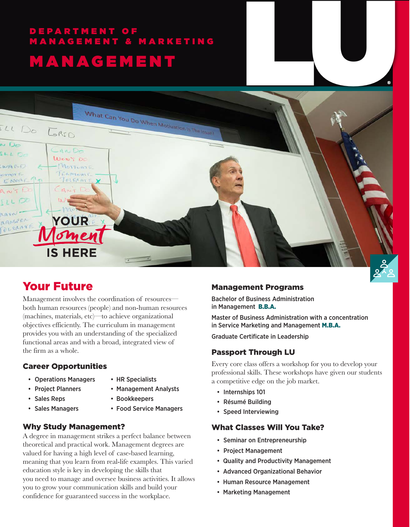# DEPARTMENT OF MANAGEMENT & MARKETING



# Your Future

Management involves the coordination of resources both human resources (people) and non-human resources (machines, materials, etc)—to achieve organizational objectives efficiently. The curriculum in management provides you with an understanding of the specialized functional areas and with a broad, integrated view of the firm as a whole.

#### Career Opportunities

- Operations Managers HR Specialists
- 
- Project Planners Management Analysts
- 
- 
- Sales Reps Bookkeepers
- 
- 
- 
- 
- 

#### • Sales Managers • Food Service Managers

#### Why Study Management?

A degree in management strikes a perfect balance between theoretical and practical work. Management degrees are valued for having a high level of case-based learning, meaning that you learn from real-life examples. This varied education style is key in developing the skills that you need to manage and oversee business activities. It allows you to grow your communication skills and build your confidence for guaranteed success in the workplace.

#### Management Programs

Bachelor of Business Administration in Management B.B.A.

Master of Business Administration with a concentration in Service Marketing and Management M.B.A.

Graduate Certificate in Leadership

#### Passport Through LU

Every core class offers a workshop for you to develop your professional skills. These workshops have given our students a competitive edge on the job market.

- Internships 101
- Résumé Building
- Speed Interviewing

#### What Classes Will You Take?

- Seminar on Entrepreneurship
- Project Management
- Quality and Productivity Management
- Advanced Organizational Behavior
- Human Resource Management
- Marketing Management